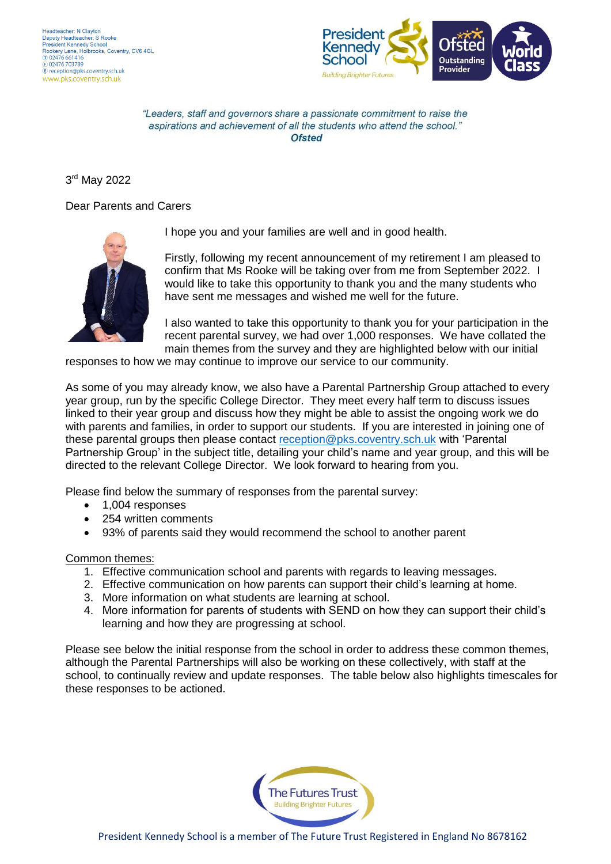

"Leaders, staff and governors share a passionate commitment to raise the aspirations and achievement of all the students who attend the school." Ofsted

3 rd May 2022

## Dear Parents and Carers



I hope you and your families are well and in good health.

Firstly, following my recent announcement of my retirement I am pleased to confirm that Ms Rooke will be taking over from me from September 2022. I would like to take this opportunity to thank you and the many students who have sent me messages and wished me well for the future.

I also wanted to take this opportunity to thank you for your participation in the recent parental survey, we had over 1,000 responses. We have collated the main themes from the survey and they are highlighted below with our initial

responses to how we may continue to improve our service to our community.

As some of you may already know, we also have a Parental Partnership Group attached to every year group, run by the specific College Director. They meet every half term to discuss issues linked to their year group and discuss how they might be able to assist the ongoing work we do with parents and families, in order to support our students. If you are interested in joining one of these parental groups then please contact [reception@pks.coventry.sch.uk](mailto:reception@pks.coventry.sch.uk) with 'Parental Partnership Group' in the subject title, detailing your child's name and year group, and this will be directed to the relevant College Director. We look forward to hearing from you.

Please find below the summary of responses from the parental survey:

- 1,004 responses
- 254 written comments
- 93% of parents said they would recommend the school to another parent

## Common themes:

- 1. Effective communication school and parents with regards to leaving messages.
- 2. Effective communication on how parents can support their child's learning at home.
- 3. More information on what students are learning at school.
- 4. More information for parents of students with SEND on how they can support their child's learning and how they are progressing at school.

Please see below the initial response from the school in order to address these common themes, although the Parental Partnerships will also be working on these collectively, with staff at the school, to continually review and update responses. The table below also highlights timescales for these responses to be actioned.